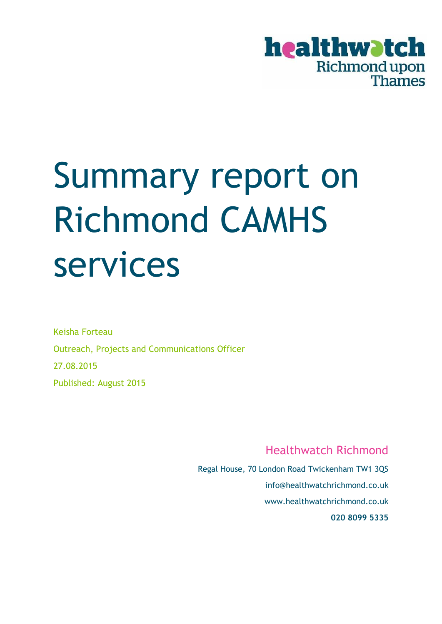

# Summary report on Richmond CAMHS services

Keisha Forteau Outreach, Projects and Communications Officer 27.08.2015 Published: August 2015

Healthwatch Richmond

Regal House, 70 London Road Twickenham TW1 3QS info@healthwatchrichmond.co.uk www.healthwatchrichmond.co.uk **020 8099 5335**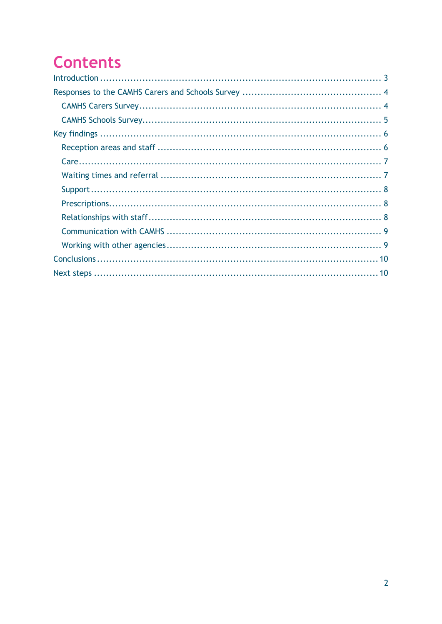# **Contents**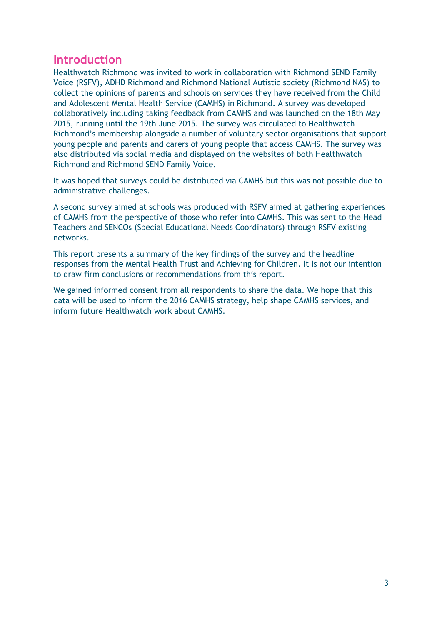# <span id="page-2-0"></span>**Introduction**

Healthwatch Richmond was invited to work in collaboration with Richmond SEND Family Voice (RSFV), ADHD Richmond and Richmond National Autistic society (Richmond NAS) to collect the opinions of parents and schools on services they have received from the Child and Adolescent Mental Health Service (CAMHS) in Richmond. A survey was developed collaboratively including taking feedback from CAMHS and was launched on the 18th May 2015, running until the 19th June 2015. The survey was circulated to Healthwatch Richmond's membership alongside a number of voluntary sector organisations that support young people and parents and carers of young people that access CAMHS. The survey was also distributed via social media and displayed on the websites of both Healthwatch Richmond and Richmond SEND Family Voice.

It was hoped that surveys could be distributed via CAMHS but this was not possible due to administrative challenges.

A second survey aimed at schools was produced with RSFV aimed at gathering experiences of CAMHS from the perspective of those who refer into CAMHS. This was sent to the Head Teachers and SENCOs (Special Educational Needs Coordinators) through RSFV existing networks.

This report presents a summary of the key findings of the survey and the headline responses from the Mental Health Trust and Achieving for Children. It is not our intention to draw firm conclusions or recommendations from this report.

We gained informed consent from all respondents to share the data. We hope that this data will be used to inform the 2016 CAMHS strategy, help shape CAMHS services, and inform future Healthwatch work about CAMHS.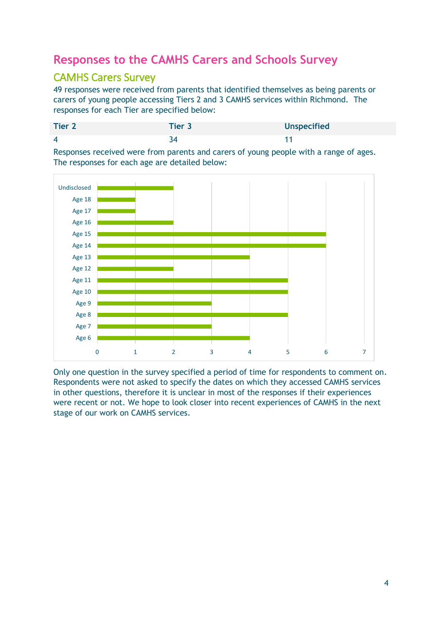# <span id="page-3-0"></span>**Responses to the CAMHS Carers and Schools Survey**

## <span id="page-3-1"></span>CAMHS Carers Survey

49 responses were received from parents that identified themselves as being parents or carers of young people accessing Tiers 2 and 3 CAMHS services within Richmond. The responses for each Tier are specified below:

| <b>Tier 2</b>  | Tier 3 | <b>Unspecified</b> |
|----------------|--------|--------------------|
| $\overline{4}$ |        |                    |

Responses received were from parents and carers of young people with a range of ages. The responses for each age are detailed below:



Only one question in the survey specified a period of time for respondents to comment on. Respondents were not asked to specify the dates on which they accessed CAMHS services in other questions, therefore it is unclear in most of the responses if their experiences were recent or not. We hope to look closer into recent experiences of CAMHS in the next stage of our work on CAMHS services.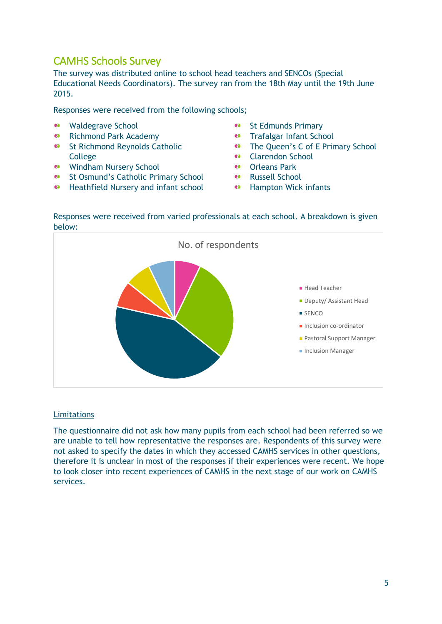# <span id="page-4-0"></span>CAMHS Schools Survey

The survey was distributed online to school head teachers and SENCOs (Special Educational Needs Coordinators). The survey ran from the 18th May until the 19th June 2015.

Responses were received from the following schools;

- Waldegrave School
- **e** Richmond Park Academy
- **B** St Richmond Reynolds Catholic College
- Windham Nursery School
- **e** St Osmund's Catholic Primary School
- **e** Heathfield Nursery and infant school
- ea. St Edmunds Primary
- ea. Trafalgar Infant School
- ea. The Queen's C of E Primary School
- Clarendon School ea.
- ea. Orleans Park
- Russell School
- <sup>e</sup> Hampton Wick infants

#### Responses were received from varied professionals at each school. A breakdown is given below:



#### **Limitations**

The questionnaire did not ask how many pupils from each school had been referred so we are unable to tell how representative the responses are. Respondents of this survey were not asked to specify the dates in which they accessed CAMHS services in other questions, therefore it is unclear in most of the responses if their experiences were recent. We hope to look closer into recent experiences of CAMHS in the next stage of our work on CAMHS services.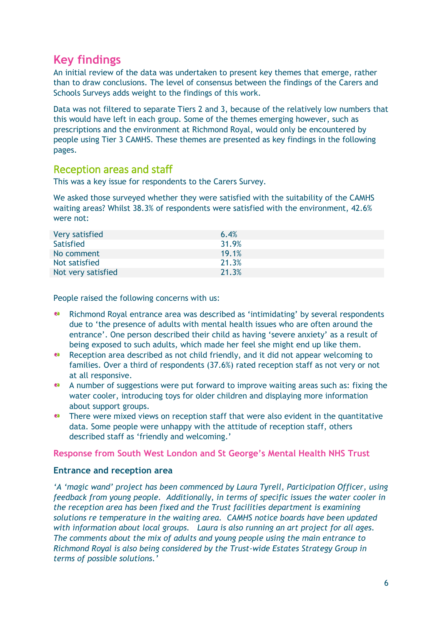# <span id="page-5-0"></span>**Key findings**

An initial review of the data was undertaken to present key themes that emerge, rather than to draw conclusions. The level of consensus between the findings of the Carers and Schools Surveys adds weight to the findings of this work.

Data was not filtered to separate Tiers 2 and 3, because of the relatively low numbers that this would have left in each group. Some of the themes emerging however, such as prescriptions and the environment at Richmond Royal, would only be encountered by people using Tier 3 CAMHS. These themes are presented as key findings in the following pages.

#### <span id="page-5-1"></span>Reception areas and staff

This was a key issue for respondents to the Carers Survey.

We asked those surveyed whether they were satisfied with the suitability of the CAMHS waiting areas? Whilst 38.3% of respondents were satisfied with the environment, 42.6% were not:

| Very satisfied     | 6.4%  |
|--------------------|-------|
| Satisfied          | 31.9% |
| No comment         | 19.1% |
| Not satisfied      | 21.3% |
| Not very satisfied | 21.3% |

People raised the following concerns with us:

- ea -Richmond Royal entrance area was described as 'intimidating' by several respondents due to 'the presence of adults with mental health issues who are often around the entrance'. One person described their child as having 'severe anxiety' as a result of being exposed to such adults, which made her feel she might end up like them.
- ea -Reception area described as not child friendly, and it did not appear welcoming to families. Over a third of respondents (37.6%) rated reception staff as not very or not at all responsive.
- A number of suggestions were put forward to improve waiting areas such as: fixing the water cooler, introducing toys for older children and displaying more information about support groups.
- ea l There were mixed views on reception staff that were also evident in the quantitative data. Some people were unhappy with the attitude of reception staff, others described staff as 'friendly and welcoming.'

**Response from South West London and St George's Mental Health NHS Trust** 

#### **Entrance and reception area**

*'A 'magic wand' project has been commenced by Laura Tyrell, Participation Officer, using feedback from young people. Additionally, in terms of specific issues the water cooler in the reception area has been fixed and the Trust facilities department is examining solutions re temperature in the waiting area. CAMHS notice boards have been updated with information about local groups. Laura is also running an art project for all ages. The comments about the mix of adults and young people using the main entrance to Richmond Royal is also being considered by the Trust-wide Estates Strategy Group in terms of possible solutions.'*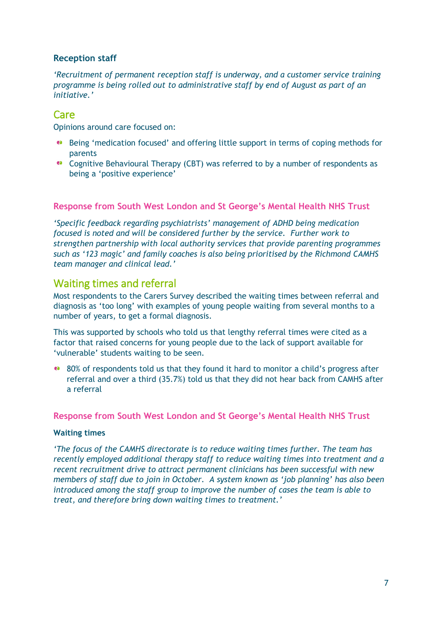#### **Reception staff**

*'Recruitment of permanent reception staff is underway, and a customer service training programme is being rolled out to administrative staff by end of August as part of an initiative.'*

#### <span id="page-6-0"></span>Care

Opinions around care focused on:

- Being 'medication focused' and offering little support in terms of coping methods for parents
- <sup>●</sup> Cognitive Behavioural Therapy (CBT) was referred to by a number of respondents as being a 'positive experience'

#### **Response from South West London and St George's Mental Health NHS Trust**

*'Specific feedback regarding psychiatrists' management of ADHD being medication focused is noted and will be considered further by the service. Further work to strengthen partnership with local authority services that provide parenting programmes such as '123 magic' and family coaches is also being prioritised by the Richmond CAMHS team manager and clinical lead.'*

#### <span id="page-6-1"></span>Waiting times and referral

Most respondents to the Carers Survey described the waiting times between referral and diagnosis as 'too long' with examples of young people waiting from several months to a number of years, to get a formal diagnosis.

This was supported by schools who told us that lengthy referral times were cited as a factor that raised concerns for young people due to the lack of support available for 'vulnerable' students waiting to be seen.

80% of respondents told us that they found it hard to monitor a child's progress after referral and over a third (35.7%) told us that they did not hear back from CAMHS after a referral

**Response from South West London and St George's Mental Health NHS Trust** 

#### **Waiting times**

*'The focus of the CAMHS directorate is to reduce waiting times further. The team has recently employed additional therapy staff to reduce waiting times into treatment and a recent recruitment drive to attract permanent clinicians has been successful with new members of staff due to join in October. A system known as 'job planning' has also been introduced among the staff group to improve the number of cases the team is able to treat, and therefore bring down waiting times to treatment.'*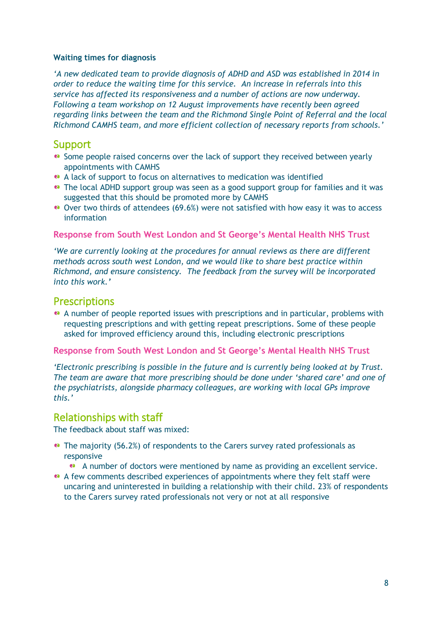#### **Waiting times for diagnosis**

*'A new dedicated team to provide diagnosis of ADHD and ASD was established in 2014 in order to reduce the waiting time for this service. An increase in referrals into this service has affected its responsiveness and a number of actions are now underway. Following a team workshop on 12 August improvements have recently been agreed regarding links between the team and the Richmond Single Point of Referral and the local Richmond CAMHS team, and more efficient collection of necessary reports from schools.'* 

#### <span id="page-7-0"></span>Support

- Some people raised concerns over the lack of support they received between yearly appointments with CAMHS
- A lack of support to focus on alternatives to medication was identified
- The local ADHD support group was seen as a good support group for families and it was suggested that this should be promoted more by CAMHS
- Over two thirds of attendees (69.6%) were not satisfied with how easy it was to access information

#### **Response from South West London and St George's Mental Health NHS Trust**

*'We are currently looking at the procedures for annual reviews as there are different methods across south west London, and we would like to share best practice within Richmond, and ensure consistency. The feedback from the survey will be incorporated into this work.'*

#### <span id="page-7-1"></span>**Prescriptions**

A number of people reported issues with prescriptions and in particular, problems with requesting prescriptions and with getting repeat prescriptions. Some of these people asked for improved efficiency around this, including electronic prescriptions

#### **Response from South West London and St George's Mental Health NHS Trust**

*'Electronic prescribing is possible in the future and is currently being looked at by Trust. The team are aware that more prescribing should be done under 'shared care' and one of the psychiatrists, alongside pharmacy colleagues, are working with local GPs improve this.'*

#### <span id="page-7-2"></span>Relationships with staff

The feedback about staff was mixed:

- The majority (56.2%) of respondents to the Carers survey rated professionals as responsive
	- A number of doctors were mentioned by name as providing an excellent service.
- A few comments described experiences of appointments where they felt staff were uncaring and uninterested in building a relationship with their child. 23% of respondents to the Carers survey rated professionals not very or not at all responsive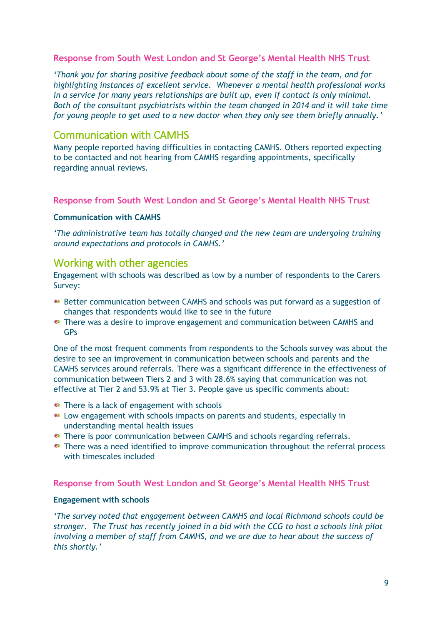#### **Response from South West London and St George's Mental Health NHS Trust**

*'Thank you for sharing positive feedback about some of the staff in the team, and for highlighting instances of excellent service. Whenever a mental health professional works in a service for many years relationships are built up, even if contact is only minimal. Both of the consultant psychiatrists within the team changed in 2014 and it will take time for young people to get used to a new doctor when they only see them briefly annually.'* 

#### <span id="page-8-0"></span>Communication with CAMHS

Many people reported having difficulties in contacting CAMHS. Others reported expecting to be contacted and not hearing from CAMHS regarding appointments, specifically regarding annual reviews.

#### **Response from South West London and St George's Mental Health NHS Trust**

#### **Communication with CAMHS**

*'The administrative team has totally changed and the new team are undergoing training around expectations and protocols in CAMHS.'*

#### <span id="page-8-1"></span>Working with other agencies

Engagement with schools was described as low by a number of respondents to the Carers Survey:

- Better communication between CAMHS and schools was put forward as a suggestion of changes that respondents would like to see in the future
- **•** There was a desire to improve engagement and communication between CAMHS and GPs

One of the most frequent comments from respondents to the Schools survey was about the desire to see an improvement in communication between schools and parents and the CAMHS services around referrals. There was a significant difference in the effectiveness of communication between Tiers 2 and 3 with 28.6% saying that communication was not effective at Tier 2 and 53.9% at Tier 3. People gave us specific comments about:

- There is a lack of engagement with schools
- Low engagement with schools impacts on parents and students, especially in understanding mental health issues
- **•** There is poor communication between CAMHS and schools regarding referrals.
- **•** There was a need identified to improve communication throughout the referral process with timescales included

#### **Response from South West London and St George's Mental Health NHS Trust**

#### **Engagement with schools**

*'The survey noted that engagement between CAMHS and local Richmond schools could be stronger. The Trust has recently joined in a bid with the CCG to host a schools link pilot involving a member of staff from CAMHS, and we are due to hear about the success of this shortly.'*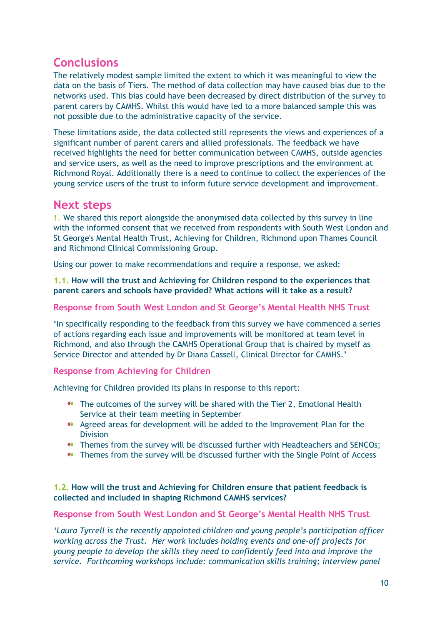# <span id="page-9-0"></span>**Conclusions**

The relatively modest sample limited the extent to which it was meaningful to view the data on the basis of Tiers. The method of data collection may have caused bias due to the networks used. This bias could have been decreased by direct distribution of the survey to parent carers by CAMHS. Whilst this would have led to a more balanced sample this was not possible due to the administrative capacity of the service.

These limitations aside, the data collected still represents the views and experiences of a significant number of parent carers and allied professionals. The feedback we have received highlights the need for better communication between CAMHS, outside agencies and service users, as well as the need to improve prescriptions and the environment at Richmond Royal. Additionally there is a need to continue to collect the experiences of the young service users of the trust to inform future service development and improvement.

## <span id="page-9-1"></span>**Next steps**

1. We shared this report alongside the anonymised data collected by this survey in line with the informed consent that we received from respondents with South West London and St George's Mental Health Trust, Achieving for Children, Richmond upon Thames Council and Richmond Clinical Commissioning Group.

Using our power to make recommendations and require a response, we asked:

#### **1.1. How will the trust and Achieving for Children respond to the experiences that parent carers and schools have provided? What actions will it take as a result?**

#### **Response from South West London and St George's Mental Health NHS Trust**

**'**In specifically responding to the feedback from this survey we have commenced a series of actions regarding each issue and improvements will be monitored at team level in Richmond, and also through the CAMHS Operational Group that is chaired by myself as Service Director and attended by Dr Diana Cassell, Clinical Director for CAMHS.'

#### **Response from Achieving for Children**

Achieving for Children provided its plans in response to this report:

- The outcomes of the survey will be shared with the Tier 2, Emotional Health Service at their team meeting in September
- Agreed areas for development will be added to the Improvement Plan for the Division
- **•** Themes from the survey will be discussed further with Headteachers and SENCOs;
- **••** Themes from the survey will be discussed further with the Single Point of Access

#### **1.2. How will the trust and Achieving for Children ensure that patient feedback is collected and included in shaping Richmond CAMHS services?**

#### **Response from South West London and St George's Mental Health NHS Trust**

*'Laura Tyrrell is the recently appointed children and young people's participation officer working across the Trust. Her work includes holding events and one-off projects for young people to develop the skills they need to confidently feed into and improve the service. Forthcoming workshops include: communication skills training; interview panel*